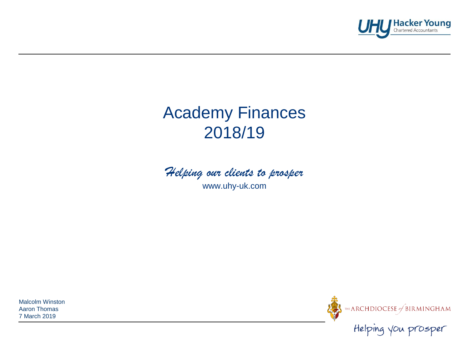

# Academy Finances 2018/19



www.uhy-uk.com

Malcolm Winston Aaron Thomas 7 March 2019

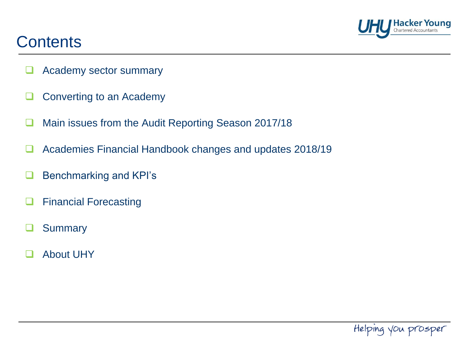

### **Contents**

- **Academy sector summary**
- $\Box$  Converting to an Academy
- Main issues from the Audit Reporting Season 2017/18
- **Academies Financial Handbook changes and updates 2018/19**
- **Benchmarking and KPI's**
- Financial Forecasting
- Summary
- About UHY

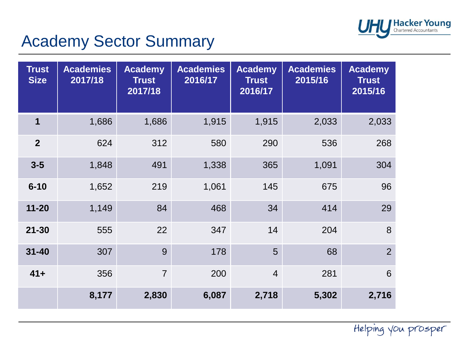

# Academy Sector Summary

| <b>Trust</b><br><b>Size</b> | <b>Academies</b><br>2017/18 | <b>Academy</b><br><b>Trust</b><br>2017/18 | <b>Academies</b><br>2016/17 | <b>Academy</b><br><b>Trust</b><br>2016/17 | <b>Academies</b><br>2015/16 | <b>Academy</b><br><b>Trust</b><br>2015/16 |
|-----------------------------|-----------------------------|-------------------------------------------|-----------------------------|-------------------------------------------|-----------------------------|-------------------------------------------|
| $\mathbf 1$                 | 1,686                       | 1,686                                     | 1,915                       | 1,915                                     | 2,033                       | 2,033                                     |
| $\overline{2}$              | 624                         | 312                                       | 580                         | 290                                       | 536                         | 268                                       |
| $3 - 5$                     | 1,848                       | 491                                       | 1,338                       | 365                                       | 1,091                       | 304                                       |
| $6 - 10$                    | 1,652                       | 219                                       | 1,061                       | 145                                       | 675                         | 96                                        |
| $11 - 20$                   | 1,149                       | 84                                        | 468                         | 34                                        | 414                         | 29                                        |
| $21 - 30$                   | 555                         | 22                                        | 347                         | 14                                        | 204                         | 8                                         |
| $31 - 40$                   | 307                         | 9                                         | 178                         | 5                                         | 68                          | $\overline{2}$                            |
| $41 +$                      | 356                         | $\overline{7}$                            | 200                         | $\overline{4}$                            | 281                         | 6                                         |
|                             | 8,177                       | 2,830                                     | 6,087                       | 2,718                                     | 5,302                       | 2,716                                     |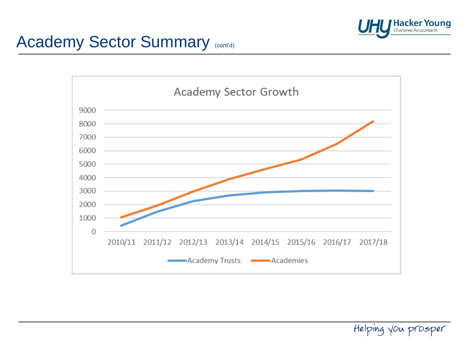

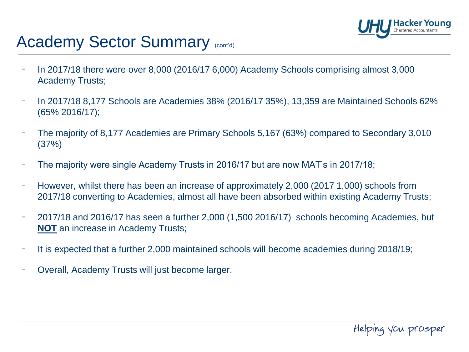

## Academy Sector Summary (cont'd)

- In 2017/18 there were over 8,000 (2016/17 6,000) Academy Schools comprising almost 3,000 Academy Trusts;
- In 2017/18 8,177 Schools are Academies 38% (2016/17 35%), 13,359 are Maintained Schools 62% (65% 2016/17);
- The majority of 8,177 Academies are Primary Schools 5,167 (63%) compared to Secondary 3,010 (37%)
- The majority were single Academy Trusts in 2016/17 but are now MAT's in 2017/18;
- However, whilst there has been an increase of approximately 2,000 (2017 1,000) schools from 2017/18 converting to Academies, almost all have been absorbed within existing Academy Trusts;
- 2017/18 and 2016/17 has seen a further 2,000 (1,500 2016/17) schools becoming Academies, but **NOT** an increase in Academy Trusts;
- It is expected that a further 2,000 maintained schools will become academies during 2018/19;
- Overall, Academy Trusts will just become larger.

Helping you prosper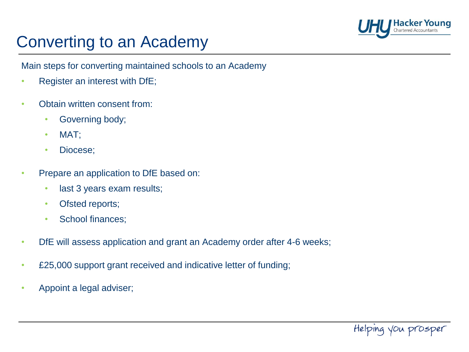

### Converting to an Academy

Main steps for converting maintained schools to an Academy

- Register an interest with DfE;
- Obtain written consent from:
	- Governing body;
	- MAT;
	- Diocese;
- Prepare an application to DfE based on:
	- last 3 years exam results;
	- Ofsted reports;
	- School finances;
- DfE will assess application and grant an Academy order after 4-6 weeks;
- £25,000 support grant received and indicative letter of funding;
- Appoint a legal adviser;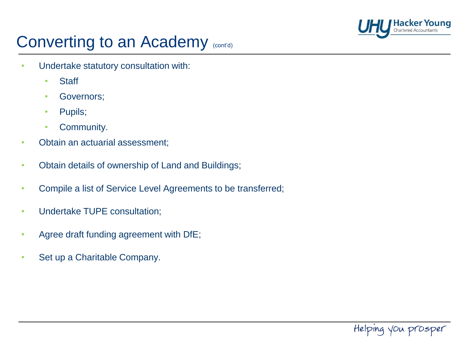

- Undertake statutory consultation with:
	- Staff
	- Governors;
	- Pupils;
	- Community.
- Obtain an actuarial assessment;
- Obtain details of ownership of Land and Buildings;
- Compile a list of Service Level Agreements to be transferred;
- Undertake TUPE consultation;
- Agree draft funding agreement with DfE;
- Set up a Charitable Company.

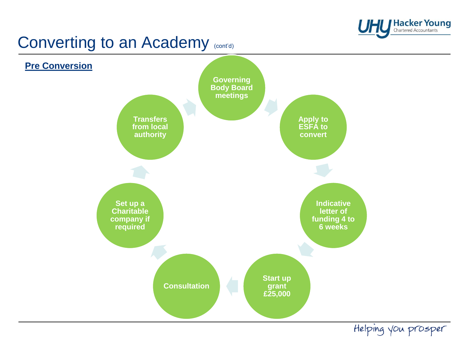

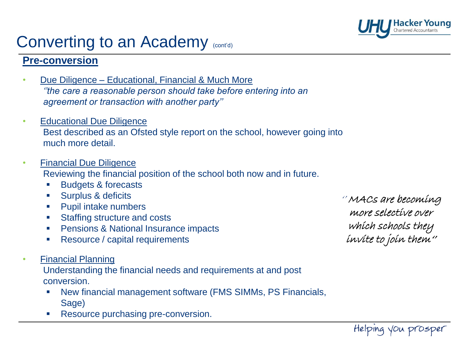

#### **Pre-conversion**

- Due Diligence Educational, Financial & Much More *''the care a reasonable person should take before entering into an agreement or transaction with another party''*
- Educational Due Diligence Best described as an Ofsted style report on the school, however going into much more detail.
- Financial Due Diligence

Reviewing the financial position of the school both now and in future.

- Budgets & forecasts
- **Surplus & deficits**
- **Pupil intake numbers**
- Staffing structure and costs
- **Pensions & National Insurance impacts**
- **Resource / capital requirements**
- Financial Planning

Understanding the financial needs and requirements at and post conversion.

- New financial management software (FMS SIMMs, PS Financials, Sage)
- Resource purchasing pre-conversion.

'' MACs are becoming more selective over which schools they invite to join them''

Helping you prosper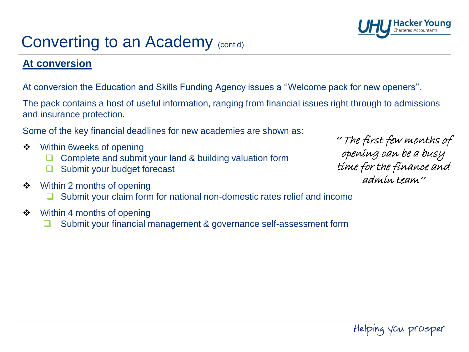### **At conversion**

At conversion the Education and Skills Funding Agency issues a ''Welcome pack for new openers''.

The pack contains a host of useful information, ranging from financial issues right through to admissions and insurance protection.

Some of the key financial deadlines for new academies are shown as:

- ❖ Within 6weeks of opening
	- Complete and submit your land & building valuation form
	- **□** Submit your budget forecast
- Within 2 months of opening
	- **□** Submit your claim form for national non-domestic rates relief and income
- ❖ Within 4 months of opening
	- Submit your financial management & governance self-assessment form

'' The first few months of opening can be a busy time for the finance and admin team''

**Hacker Young**<br>Chartered Accountants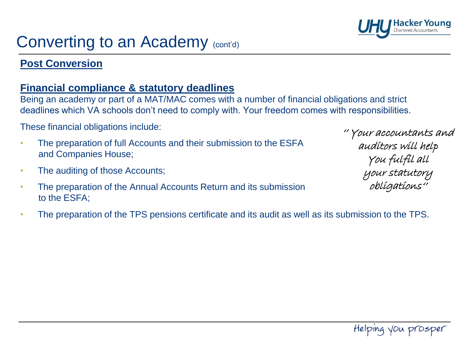### **Post Conversion**

#### **Financial compliance & statutory deadlines**

Being an academy or part of a MAT/MAC comes with a number of financial obligations and strict deadlines which VA schools don't need to comply with. Your freedom comes with responsibilities.

These financial obligations include:

- The preparation of full Accounts and their submission to the ESFA and Companies House;
- The auditing of those Accounts;
- The preparation of the Annual Accounts Return and its submission to the ESFA;
- The preparation of the TPS pensions certificate and its audit as well as its submission to the TPS.



'' Your accountants and auditors will help You fulfil all your statutory obligations''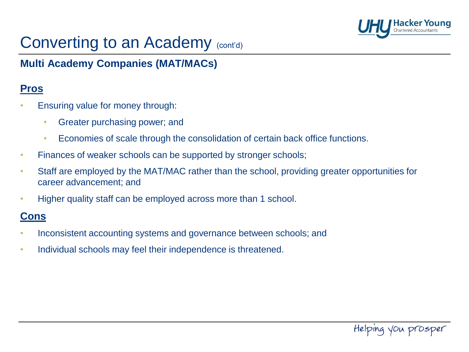

### **Multi Academy Companies (MAT/MACs)**

#### **Pros**

- Ensuring value for money through:
	- Greater purchasing power; and
	- Economies of scale through the consolidation of certain back office functions.
- Finances of weaker schools can be supported by stronger schools;
- Staff are employed by the MAT/MAC rather than the school, providing greater opportunities for career advancement; and
- Higher quality staff can be employed across more than 1 school.

#### **Cons**

- Inconsistent accounting systems and governance between schools; and
- Individual schools may feel their independence is threatened.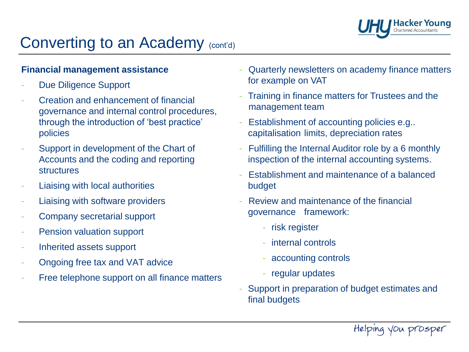

#### **Financial management assistance**

- Due Diligence Support
- Creation and enhancement of financial governance and internal control procedures, through the introduction of 'best practice' policies
- Support in development of the Chart of Accounts and the coding and reporting structures
- Liaising with local authorities
- Liaising with software providers
- Company secretarial support
- Pension valuation support
- Inherited assets support
- Ongoing free tax and VAT advice
- Free telephone support on all finance matters
- Quarterly newsletters on academy finance matters for example on VAT
- Training in finance matters for Trustees and the management team
- Establishment of accounting policies e.g.. capitalisation limits, depreciation rates
- Fulfilling the Internal Auditor role by a 6 monthly inspection of the internal accounting systems.
- Establishment and maintenance of a balanced budget
- Review and maintenance of the financial governance framework:
	- risk register
	- internal controls
	- accounting controls
	- regular updates
- Support in preparation of budget estimates and final budgets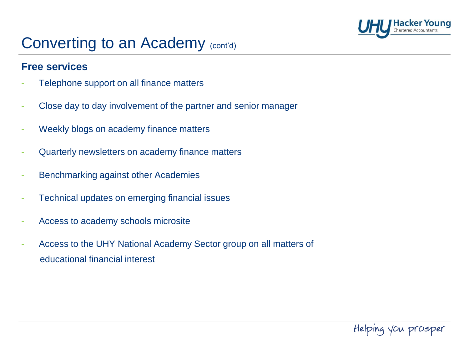

#### **Free services**

- Telephone support on all finance matters
- Close day to day involvement of the partner and senior manager
- Weekly blogs on academy finance matters
- Quarterly newsletters on academy finance matters
- Benchmarking against other Academies
- Technical updates on emerging financial issues
- Access to academy schools microsite
- Access to the UHY National Academy Sector group on all matters of educational financial interest

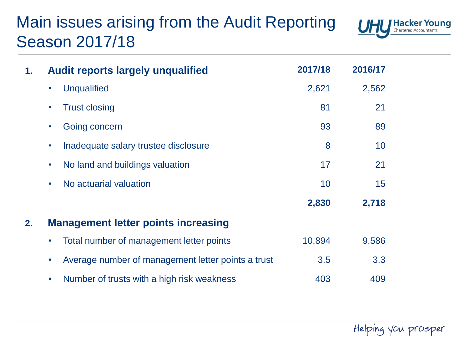# Main issues arising from the Audit Reporting Season 2017/18



| 1.                                               | <b>Audit reports largely unqualified</b>                        | 2017/18 | 2016/17 |  |  |  |  |
|--------------------------------------------------|-----------------------------------------------------------------|---------|---------|--|--|--|--|
|                                                  | <b>Unqualified</b>                                              | 2,621   | 2,562   |  |  |  |  |
|                                                  | <b>Trust closing</b>                                            | 81      | 21      |  |  |  |  |
|                                                  | Going concern                                                   | 93      | 89      |  |  |  |  |
|                                                  | Inadequate salary trustee disclosure<br>$\bullet$               | 8       | 10      |  |  |  |  |
|                                                  | No land and buildings valuation<br>$\bullet$                    | 17      | 21      |  |  |  |  |
|                                                  | No actuarial valuation<br>$\bullet$                             | 10      | 15      |  |  |  |  |
|                                                  |                                                                 | 2,830   | 2,718   |  |  |  |  |
| <b>Management letter points increasing</b><br>2. |                                                                 |         |         |  |  |  |  |
|                                                  | Total number of management letter points                        | 10,894  | 9,586   |  |  |  |  |
|                                                  | Average number of management letter points a trust<br>$\bullet$ | 3.5     | 3.3     |  |  |  |  |
|                                                  | Number of trusts with a high risk weakness<br>$\bullet$         | 403     | 409     |  |  |  |  |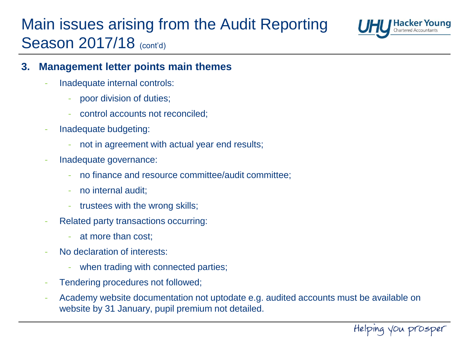# Main issues arising from the Audit Reporting Season 2017/18 (cont'd)



#### **3. Management letter points main themes**

- Inadequate internal controls:
	- poor division of duties;
	- control accounts not reconciled;
- Inadequate budgeting:
	- not in agreement with actual year end results;
- Inadequate governance:
	- no finance and resource committee/audit committee;
	- no internal audit;
	- trustees with the wrong skills;
- Related party transactions occurring:
	- at more than cost:
- No declaration of interests:
	- when trading with connected parties;
- Tendering procedures not followed;
- Academy website documentation not uptodate e.g. audited accounts must be available on website by 31 January, pupil premium not detailed.

Helping you prosper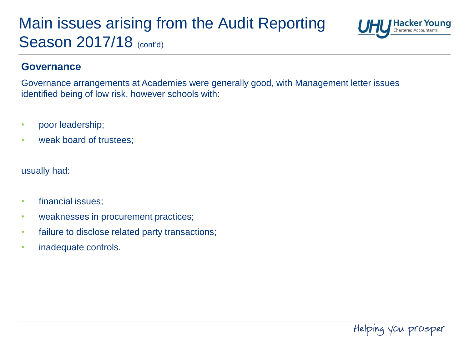## Main issues arising from the Audit Reporting Season 2017/18 (cont'd)



#### **Governance**

Governance arrangements at Academies were generally good, with Management letter issues identified being of low risk, however schools with:

- poor leadership;
- weak board of trustees;

usually had:

- financial issues;
- weaknesses in procurement practices;
- failure to disclose related party transactions;
- inadequate controls.

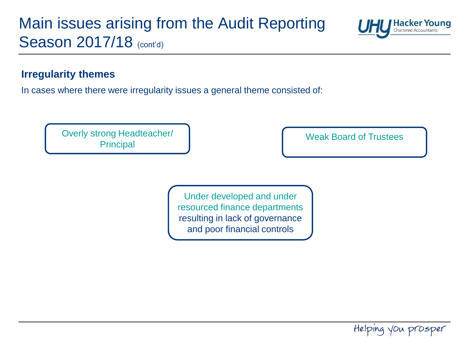## Main issues arising from the Audit Reporting Season 2017/18 (cont'd)



#### **Irregularity themes**

In cases where there were irregularity issues a general theme consisted of:

Overly strong Headteacher/ **Principal** 

Weak Board of Trustees

Under developed and under resourced finance departments resulting in lack of governance and poor financial controls

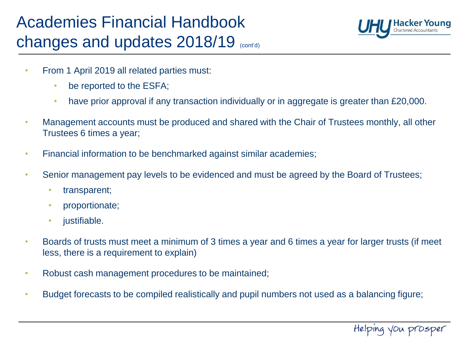# Academies Financial Handbook changes and updates 2018/19 (cont'd)



- From 1 April 2019 all related parties must:
	- be reported to the ESFA;
	- have prior approval if any transaction individually or in aggregate is greater than £20,000.
- Management accounts must be produced and shared with the Chair of Trustees monthly, all other Trustees 6 times a year;
- Financial information to be benchmarked against similar academies;
- Senior management pay levels to be evidenced and must be agreed by the Board of Trustees;
	- transparent;
	- proportionate;
	- justifiable.
- Boards of trusts must meet a minimum of 3 times a year and 6 times a year for larger trusts (if meet less, there is a requirement to explain)
- Robust cash management procedures to be maintained;
- Budget forecasts to be compiled realistically and pupil numbers not used as a balancing figure;

Helping you prosper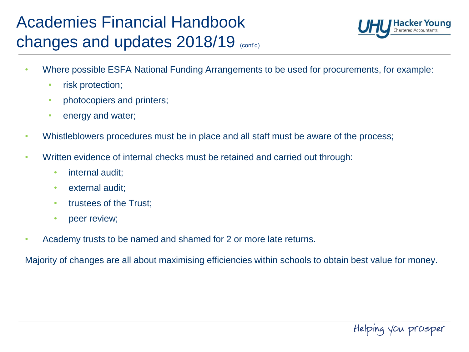# Academies Financial Handbook changes and updates 2018/19 (cont'd)



- Where possible ESFA National Funding Arrangements to be used for procurements, for example:
	- risk protection;
	- photocopiers and printers;
	- energy and water;
- Whistleblowers procedures must be in place and all staff must be aware of the process;
- Written evidence of internal checks must be retained and carried out through:
	- internal audit;
	- external audit;
	- trustees of the Trust;
	- peer review;
- Academy trusts to be named and shamed for 2 or more late returns.

Majority of changes are all about maximising efficiencies within schools to obtain best value for money.

Helping you prosper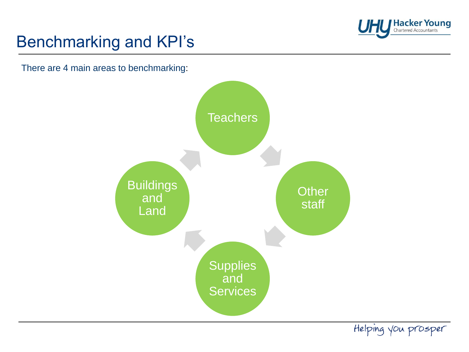

# Benchmarking and KPI's

There are 4 main areas to benchmarking:

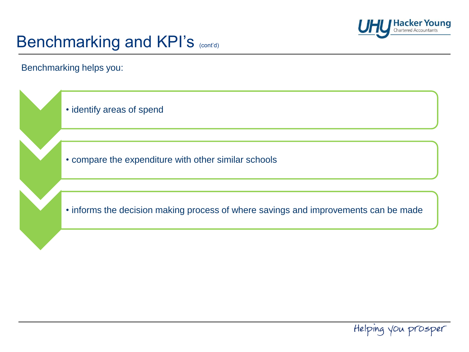

Benchmarking helps you:



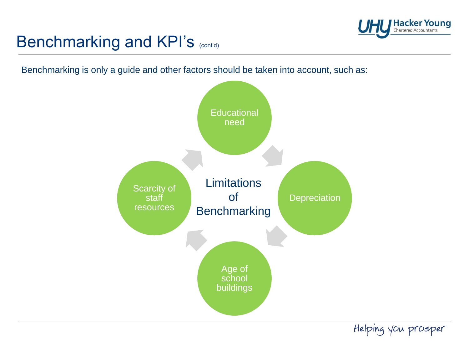

Benchmarking is only a guide and other factors should be taken into account, such as:

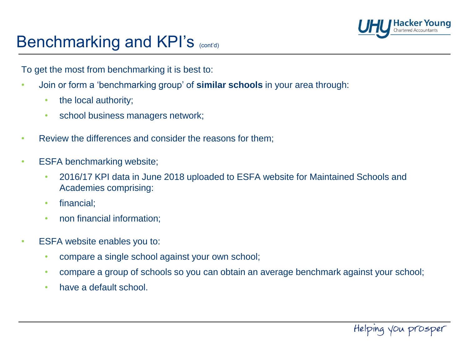

To get the most from benchmarking it is best to:

- Join or form a 'benchmarking group' of **similar schools** in your area through:
	- the local authority;
	- school business managers network;
- Review the differences and consider the reasons for them;
- ESFA benchmarking website;
	- 2016/17 KPI data in June 2018 uploaded to ESFA website for Maintained Schools and Academies comprising:
	- financial;
	- non financial information;
- ESFA website enables you to:
	- compare a single school against your own school;
	- compare a group of schools so you can obtain an average benchmark against your school;
	- have a default school.

Helping you prosper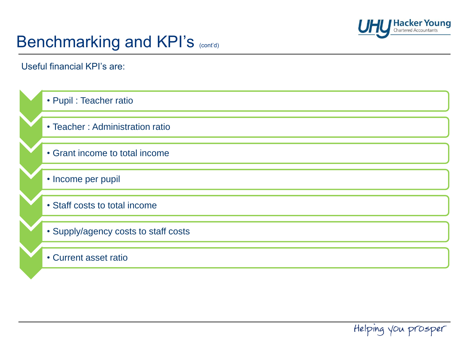

Useful financial KPI's are:

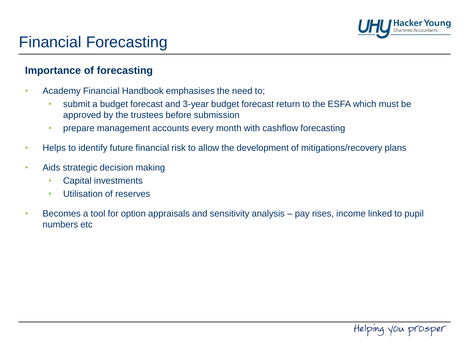

### Financial Forecasting

#### **Importance of forecasting**

- Academy Financial Handbook emphasises the need to;
	- submit a budget forecast and 3-year budget forecast return to the ESFA which must be approved by the trustees before submission
	- prepare management accounts every month with cashflow forecasting
- Helps to identify future financial risk to allow the development of mitigations/recovery plans
- Aids strategic decision making
	- Capital investments
	- Utilisation of reserves
- Becomes a tool for option appraisals and sensitivity analysis pay rises, income linked to pupil numbers etc

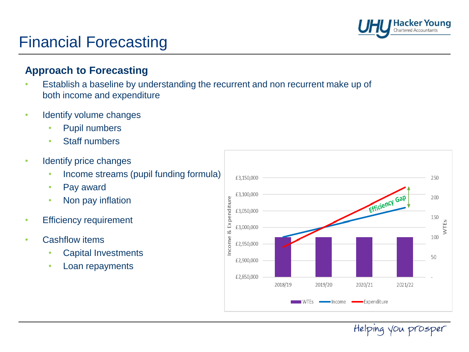

### Financial Forecasting

#### **Approach to Forecasting**

- Establish a baseline by understanding the recurrent and non recurrent make up of both income and expenditure
- Identify volume changes
	- Pupil numbers
	- **Staff numbers**
- Identify price changes
	- Income streams (pupil funding formula)
	- Pay award
	- Non pay inflation
- **Efficiency requirement**
- Cashflow items
	- Capital Investments
	- Loan repayments

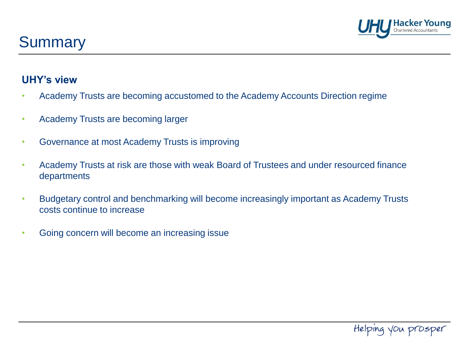

### **Summary**

#### **UHY's view**

- Academy Trusts are becoming accustomed to the Academy Accounts Direction regime
- Academy Trusts are becoming larger
- Governance at most Academy Trusts is improving
- Academy Trusts at risk are those with weak Board of Trustees and under resourced finance departments
- Budgetary control and benchmarking will become increasingly important as Academy Trusts costs continue to increase
- Going concern will become an increasing issue